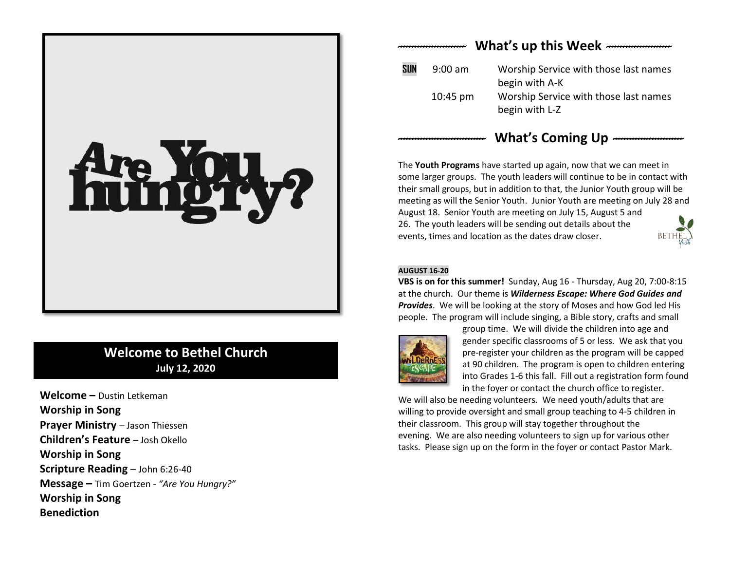

## **Welcome to Bethel Church July 12, 2020**

**Welcome –** Dustin Letkeman **Worship in Song Prayer Ministry** – Jason Thiessen **Children's Feature** – Josh Okello **Worship in Song Scripture Reading** – John 6:26-40 **Message –** Tim Goertzen - *"Are You Hungry?"* **Worship in Song Benediction**

## *------------------------* **What's up this Week** *-----------------------*

**SUN** 9:00 am Worship Service with those last names begin with A-K 10:45 pm Worship Service with those last names begin with L-Z

### What's Coming Up  $\longrightarrow$

The **Youth Programs** have started up again, now that we can meet in some larger groups. The youth leaders will continue to be in contact with their small groups, but in addition to that, the Junior Youth group will be meeting as will the Senior Youth. Junior Youth are meeting on July 28 and August 18. Senior Youth are meeting on July 15, August 5 and 26. The youth leaders will be sending out details about the events, times and location as the dates draw closer.

#### **AUGUST 16-20**

**VBS is on for this summer!** Sunday, Aug 16 - Thursday, Aug 20, 7:00-8:15 at the church. Our theme is *Wilderness Escape: Where God Guides and Provides*. We will be looking at the story of Moses and how God led His people. The program will include singing, a Bible story, crafts and small



group time. We will divide the children into age and gender specific classrooms of 5 or less. We ask that you pre-register your children as the program will be capped at 90 children. The program is open to children entering into Grades 1-6 this fall. Fill out a registration form found in the foyer or contact the church office to register.

We will also be needing volunteers. We need youth/adults that are willing to provide oversight and small group teaching to 4-5 children in their classroom. This group will stay together throughout the evening. We are also needing volunteers to sign up for various other tasks. Please sign up on the form in the foyer or contact Pastor Mark.